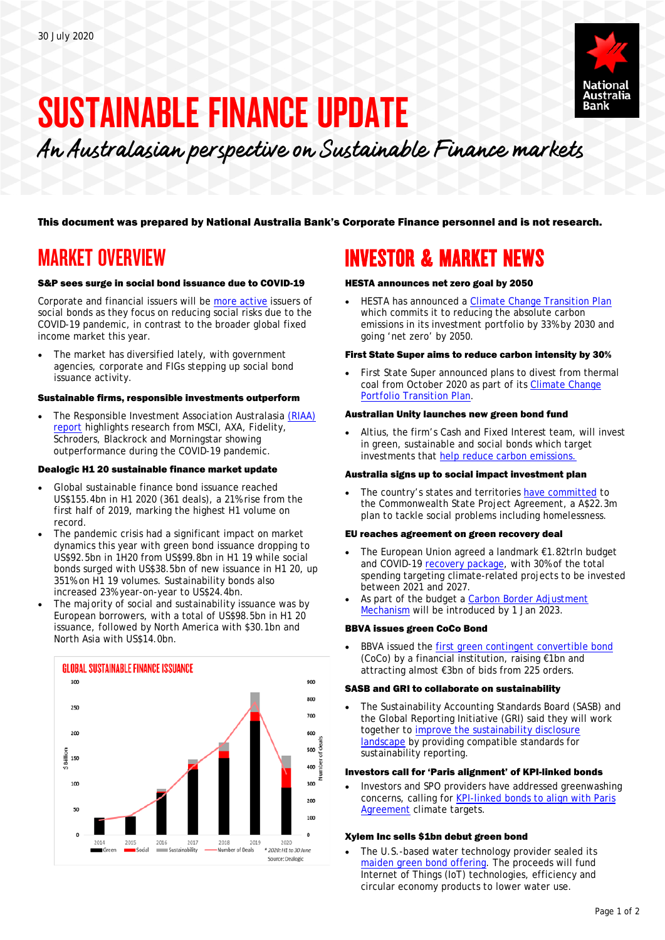

# SUSTAINABLE FINANCE UPDATE

An Australasian perspective on Sustainable Finance markets

This document was prepared by National Australia Bank's Corporate Finance personnel and is not research.

## MARKET OVERVIEW

#### S&P sees surge in social bond issuance due to COVID-19

Corporate and financial issuers will be [more active](https://www.spglobal.com/ratings/en/research/articles/200622-a-pandemic-driven-surge-in-social-bond-issuance-shows-the-sustainable-debt-market-is-evolving-11539807) issuers of social bonds as they focus on reducing social risks due to the COVID-19 pandemic, in contrast to the broader global fixed income market this year.

The market has diversified lately, with government agencies, corporate and FIGs stepping up social bond issuance activity.

#### Sustainable firms, responsible investments outperform

• The Responsible Investment Association Australasia [\(RIAA\)](https://responsibleinvestment.org/wp-content/uploads/2020/07/RIAA-Briefing-Note-COVID-19-and-performance-of-responsible-investments.pdf)  [report](https://responsibleinvestment.org/wp-content/uploads/2020/07/RIAA-Briefing-Note-COVID-19-and-performance-of-responsible-investments.pdf) highlights research from MSCI, AXA, Fidelity, Schroders, Blackrock and Morningstar showing outperformance during the COVID-19 pandemic.

#### Dealogic H1 20 sustainable finance market update

- Global sustainable finance bond issuance reached US\$155.4bn in H1 2020 (361 deals), a 21% rise from the first half of 2019, marking the highest H1 volume on record.
- The pandemic crisis had a significant impact on market dynamics this year with green bond issuance dropping to US\$92.5bn in 1H20 from US\$99.8bn in H1 19 while social bonds surged with US\$38.5bn of new issuance in H1 20, up 351% on H1 19 volumes. Sustainability bonds also increased 23% year-on-year to US\$24.4bn.
- The majority of social and sustainability issuance was by European borrowers, with a total of US\$98.5bn in H1 20 issuance, followed by North America with \$30.1bn and North Asia with US\$14.0bn.



## INVESTOR & MARKET NEWS

#### HESTA announces net zero goal by 2050

• HESTA has announced a [Climate Change Transition Plan](https://www.hesta.com.au/about-us/media-centre/HESTA-announces-net-zero-by-2050-aim-climate-change-plan.html) which commits it to reducing the absolute carbon emissions in its investment portfolio by 33% by 2030 and going 'net zero' by 2050.

#### First State Super aims to reduce carbon intensity by 30%

First State Super announced plans to divest from thermal coal from October 2020 as part of its Climate Change [Portfolio Transition Plan.](https://firststatesuper.com.au/blog/divesting-from-thermal-coal)

### Australian Unity launches new green bond fund

• Altius, the firm's Cash and Fixed Interest team, will invest in green, sustainable and social bonds which target investments that [help reduce carbon emissions.](https://www.australianunity.com.au/wealth/investment-options/fixed-interest-and-cash/green-bond-fund)

#### Australia signs up to social impact investment plan

The country's states and territories [have committed](https://ministers.dss.gov.au/media-releases/5981) to the Commonwealth State Project Agreement, a A\$22.3m plan to tackle social problems including homelessness.

#### EU reaches agreement on green recovery deal

- The European Union agreed a landmark €1.82trln budget and COVID-19 [recovery package,](https://www.consilium.europa.eu/en/meetings/european-council/2020/07/17-21/) with 30% of the total spending targeting climate-related projects to be invested between 2021 and 2027.
- As part of the budget a Carbon Border Adjustment [Mechanism](https://www.consilium.europa.eu/en/infographics/recovery-plan-mff-2021-2027/) will be introduced by 1 Jan 2023.

#### BBVA issues green CoCo Bond

BBVA issued the [first green contingent convertible](https://www.bbva.com/en/bbva-is-the-first-financial-institution-in-the-world-to-issue-green-coco-bonds/) bond (CoCo) by a financial institution, raising €1bn and attracting almost €3bn of bids from 225 orders.

#### SASB and GRI to collaborate on sustainability

• The Sustainability Accounting Standards Board (SASB) and the Global Reporting Initiative (GRI) said they will work together t[o improve the sustainability disclosure](https://www.sasb.org/blog/promoting-clarity-and-compatibility-in-the-sustainability-landscape-gri-and-sasb-announce-collaboration/)  [landscape](https://www.sasb.org/blog/promoting-clarity-and-compatibility-in-the-sustainability-landscape-gri-and-sasb-announce-collaboration/) by providing compatible standards for sustainability reporting.

#### Investors call for 'Paris alignment' of KPI-linked bonds

• Investors and SPO providers have addressed greenwashing concerns, calling for [KPI-linked bonds to align with Paris](https://www.environmental-finance.com/content/news/kpi-linked-bonds-webinar-investors-want-paris-alignment.html)  [Agreement](https://www.environmental-finance.com/content/news/kpi-linked-bonds-webinar-investors-want-paris-alignment.html) climate targets.

#### Xylem Inc sells \$1bn debut green bond

The U.S.-based water technology provider sealed its [maiden green bond offering.](https://www.xylem.com/en-vn/about-xylem/newsroom/press-releases/xylem-closes-$1-billion-inaugural-green-bond/) The proceeds will fund Internet of Things (IoT) technologies, efficiency and circular economy products to lower water use.